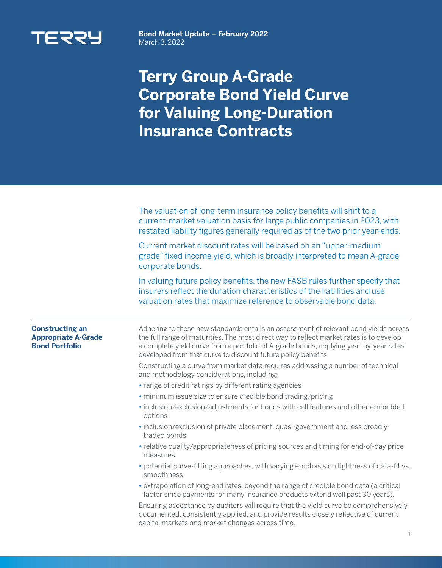

**Bond Market Update – February 2022**  March 3, 2022

## **Terry Group A-Grade Corporate Bond Yield Curve for Valuing Long-Duration Insurance Contracts**

|                                                                               | The valuation of long-term insurance policy benefits will shift to a<br>current-market valuation basis for large public companies in 2023, with<br>restated liability figures generally required as of the two prior year-ends.                                                                                                           |
|-------------------------------------------------------------------------------|-------------------------------------------------------------------------------------------------------------------------------------------------------------------------------------------------------------------------------------------------------------------------------------------------------------------------------------------|
|                                                                               | Current market discount rates will be based on an "upper-medium<br>grade" fixed income yield, which is broadly interpreted to mean A-grade<br>corporate bonds.                                                                                                                                                                            |
|                                                                               | In valuing future policy benefits, the new FASB rules further specify that<br>insurers reflect the duration characteristics of the liabilities and use<br>valuation rates that maximize reference to observable bond data.                                                                                                                |
| <b>Constructing an</b><br><b>Appropriate A-Grade</b><br><b>Bond Portfolio</b> | Adhering to these new standards entails an assessment of relevant bond yields across<br>the full range of maturities. The most direct way to reflect market rates is to develop<br>a complete yield curve from a portfolio of A-grade bonds, applying year-by-year rates<br>developed from that curve to discount future policy benefits. |
|                                                                               | Constructing a curve from market data requires addressing a number of technical<br>and methodology considerations, including:                                                                                                                                                                                                             |
|                                                                               | · range of credit ratings by different rating agencies                                                                                                                                                                                                                                                                                    |
|                                                                               | · minimum issue size to ensure credible bond trading/pricing                                                                                                                                                                                                                                                                              |
|                                                                               | · inclusion/exclusion/adjustments for bonds with call features and other embedded<br>options                                                                                                                                                                                                                                              |
|                                                                               | · inclusion/exclusion of private placement, quasi-government and less broadly-<br>traded bonds                                                                                                                                                                                                                                            |
|                                                                               | • relative quality/appropriateness of pricing sources and timing for end-of-day price<br>measures                                                                                                                                                                                                                                         |
|                                                                               | • potential curve-fitting approaches, with varying emphasis on tightness of data-fit vs.<br>smoothness                                                                                                                                                                                                                                    |
|                                                                               | • extrapolation of long-end rates, beyond the range of credible bond data (a critical<br>factor since payments for many insurance products extend well past 30 years).                                                                                                                                                                    |
|                                                                               | Ensuring acceptance by auditors will require that the yield curve be comprehensively<br>documented, consistently applied, and provide results closely reflective of current<br>capital markets and market changes across time.                                                                                                            |
|                                                                               | 1                                                                                                                                                                                                                                                                                                                                         |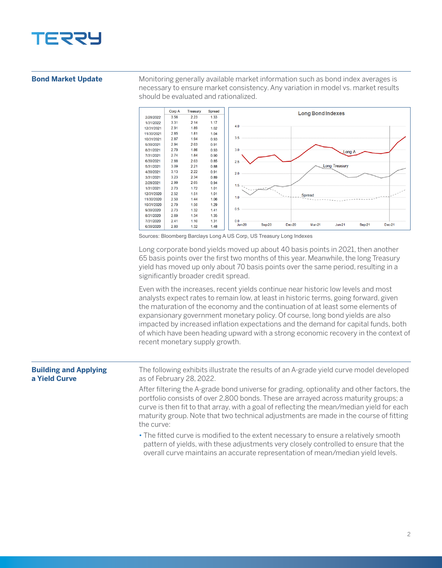

## **Bond Market Update**

Monitoring generally available market information such as bond index averages is necessary to ensure market consistency. Any variation in model vs. market results should be evaluated and rationalized.



Sources: Bloomberg Barclays Long A US Corp, US Treasury Long Indexes

Long corporate bond yields moved up about 40 basis points in 2021, then another 65 basis points over the first two months of this year. Meanwhile, the long Treasury yield has moved up only about 70 basis points over the same period, resulting in a significantly broader credit spread.

Even with the increases, recent yields continue near historic low levels and most analysts expect rates to remain low, at least in historic terms, going forward, given the maturation of the economy and the continuation of at least some elements of expansionary government monetary policy. Of course, long bond yields are also impacted by increased inflation expectations and the demand for capital funds, both of which have been heading upward with a strong economic recovery in the context of recent monetary supply growth.

| <b>Building and Applying</b><br>a Yield Curve | The following exhibits illustrate the results of an A-grade yield curve model developed<br>as of February 28, 2022.                                                                                                                                                                                                                                                                  |
|-----------------------------------------------|--------------------------------------------------------------------------------------------------------------------------------------------------------------------------------------------------------------------------------------------------------------------------------------------------------------------------------------------------------------------------------------|
|                                               | After filtering the A-grade bond universe for grading, optionality and other factors, the<br>portfolio consists of over 2,800 bonds. These are arrayed across maturity groups; a<br>curve is then fit to that array, with a goal of reflecting the mean/median yield for each<br>maturity group. Note that two technical adjustments are made in the course of fitting<br>the curve: |
|                                               | • The fitted curve is modified to the extent necessary to ensure a relatively smooth<br>pattern of yields, with these adjustments very closely controlled to ensure that the<br>overall curve maintains an accurate representation of mean/median yield levels.                                                                                                                      |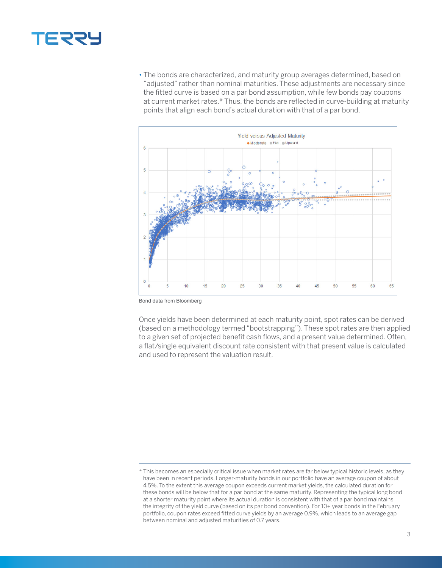

• The bonds are characterized, and maturity group averages determined, based on "adjusted" rather than nominal maturities. These adjustments are necessary since the fitted curve is based on a par bond assumption, while few bonds pay coupons at current market rates.\* Thus, the bonds are reflected in curve-building at maturity points that align each bond's actual duration with that of a par bond.



Bond data from Bloomberg

Once yields have been determined at each maturity point, spot rates can be derived (based on a methodology termed "bootstrapping"). These spot rates are then applied to a given set of projected benefit cash flows, and a present value determined. Often, a flat/single equivalent discount rate consistent with that present value is calculated and used to represent the valuation result.

<sup>\*</sup> This becomes an especially critical issue when market rates are far below typical historic levels, as they have been in recent periods. Longer-maturity bonds in our portfolio have an average coupon of about 4.5%. To the extent this average coupon exceeds current market yields, the calculated duration for these bonds will be below that for a par bond at the same maturity. Representing the typical long bond at a shorter maturity point where its actual duration is consistent with that of a par bond maintains the integrity of the yield curve (based on its par bond convention). For 10+ year bonds in the February portfolio, coupon rates exceed fitted curve yields by an average 0.9%, which leads to an average gap between nominal and adjusted maturities of 0.7 years.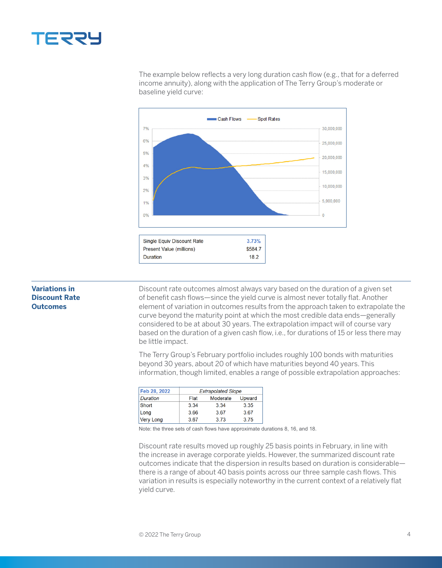

The example below reflects a very long duration cash flow (e.g., that for a deferred income annuity), along with the application of The Terry Group's moderate or baseline yield curve:



## **Variations in Discount Rate Outcomes**

Discount rate outcomes almost always vary based on the duration of a given set of benefit cash flows—since the yield curve is almost never totally flat. Another element of variation in outcomes results from the approach taken to extrapolate the curve beyond the maturity point at which the most credible data ends—generally considered to be at about 30 years. The extrapolation impact will of course vary based on the duration of a given cash flow, i.e., for durations of 15 or less there may be little impact.

The Terry Group's February portfolio includes roughly 100 bonds with maturities beyond 30 years, about 20 of which have maturities beyond 40 years. This information, though limited, enables a range of possible extrapolation approaches:

| Feb 28, 2022     | <b>Extrapolated Slope</b> |          |        |
|------------------|---------------------------|----------|--------|
| <b>Duration</b>  | Flat                      | Moderate | Upward |
| Short            | 3.34                      | 3.34     | 3.35   |
| Long             | 3.66                      | 3.67     | 3.67   |
| <b>Very Long</b> | 3.67                      | 3.73     | 3.75   |

Note: the three sets of cash flows have approximate durations 8, 16, and 18.

Discount rate results moved up roughly 25 basis points in February, in line with the increase in average corporate yields. However, the summarized discount rate outcomes indicate that the dispersion in results based on duration is considerable there is a range of about 40 basis points across our three sample cash flows. This variation in results is especially noteworthy in the current context of a relatively flat yield curve.